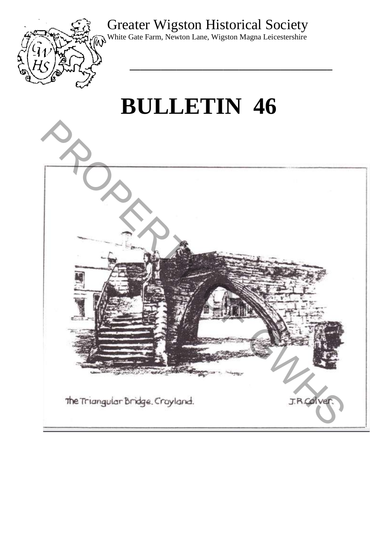# Greater Wigston Historical Society



White Gate Farm, Newton Lane, Wigston Magna Leicestershire

**\_\_\_\_\_\_\_\_\_\_\_\_\_\_\_\_\_\_\_\_\_\_\_\_\_\_\_\_\_\_\_\_\_\_\_\_\_\_\_** 

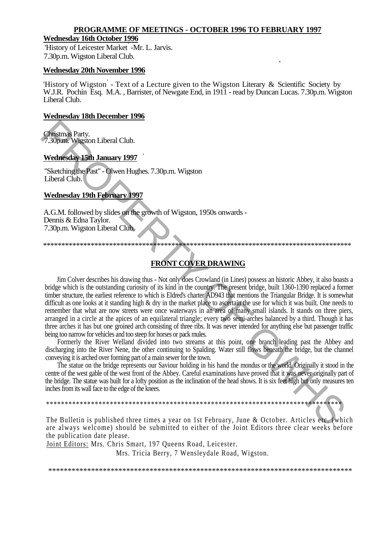#### **PROGRAMME OF MEETINGS - OCTOBER 1996 TO FEBRUARY 1997**

#### **Wednesday 16th October 1996**

'History of Leicester Market -Mr. L. Jarvis. 7.30p.m. Wigston Liberal Club.

#### **Wednesday 20th November 1996**

'History of Wigston<sup>'</sup> - Text of a Lecture given to the Wigston Literary & Scientific Society by W.J.R. Pochin Esq. M.A. , Barrister, of Newgate End, in 1911 - read by Duncan Lucas. 7.30p.m. Wigston Liberal Club.

'

### **Wednesday 18th December 1996**

Christmas Party. 7.30p.m. Wigston Liberal Club.

#### . **Wednesday 15th January 1997**

"Sketching the Past" - Olwen Hughes. 7.30p.m. Wigston Liberal Club.

## **Wednesday 19th February 1997**

A.G.M. followed by slides on the growth of Wigston, 1950s onwards - Dennis & Edna Taylor. 7.30p.m. Wigston Liberal Club.

\*\*\*\*\*\*\*\*\*\*\*\*\*\*\*\*\*\*\*\*\*\*\*\*\*\*\*\*\*\*\*\*\*\*\*\*\*\*\*\*\*\*\*\*\*\*\*\*\*\*\*\*\*\*\*\*\*\*\*\*\*\*\*\*\*\*\*\*\*\*\*\*\*\*\*\*\*\*\*\*\*\*\*\*

## **FRONT COVER DRAWING**

Jim Colver describes his drawing thus - Not only does Crowland (in Lines) possess an historic Abbey, it also boasts a bridge which is the outstanding curiosity of its kind in the country. The present bridge, built 1360-1390 replaced a former timber structure, the earliest reference to which is Eldred's charter AD943 that mentions the Triangular Bridge. It is somewhat difficult as one looks at it standing high & dry in the market place to ascertain the use for which it was built. One needs to remember that what are now streets were once waterways in an area of many small islands. It stands on three piers, arranged in a circle at the apices of an equilateral triangle; every two semi-arches balanced by a third. Though it has three arches it has but one groined arch consisting of three ribs. It was never intended for anything else but passenger traffic being too narrow for vehicles and too steep for horses or pack mules. **Chinamas Party.**<br> **Nederlesschev Jesu Liberal Club.**<br> **Nederlesschev Jesu Liberal Club.**<br> **Nederlesschev Jesu Liberal Club.**<br> **Nederlesschev Jesu Liberal Club.**<br> **Developeday 19th February 1997**<br> **AC.M. followed by skide** 

Formerly the River Welland divided into two streams at this point, one branch leading past the Abbey and discharging into the River Nene, the other continuing to Spalding. Water still flows beneath the bridge, but the channel conveying it is arched over forming part of a main sewer for the town.

The statue on the bridge represents our Saviour holding in his hand the mondus or the world. Originally it stood in the centre of the west gable of the west front of the Abbey. Careful examinations have proved that it was never originally part of the bridge. The statue was built for a lofty position as the inclination of the head shows. It is six feet high but only measures ten inches from its wall face to the edge of the knees.

\*\*\*\*\*\*\*\*\*\*\*\*\*\*\*\*\*\*\*\*\*\*\*\*\*\*\*\*\*\*\*\*\*\*\*\*\*\*\*\*\*\*\*\*\*\*\*\*\*\*\*\*\*\*\*\*\*\*\*\*\*\*\*\*\*\*\*\*\*\*\*\*\*\*\*\*\*\*\*

The Bulletin is published three times a year on 1st February, June & October. Articles etc. (which are always welcome) should be submitted to either of the Joint Editors three clear weeks before the publication date please.

Joint Editors: Mrs. Chris Smart, 197 Queens Road, Leicester.

Mrs. Tricia Berry, 7 Wensleydale Road, Wigston.

\*\*\*\*\*\*\*\*\*\*\*\*\*\*\*\*\*\*\*\*\*\*\*\*\*\*\*\*\*\*\*\*\*\*\*\*\*\*\*\*\*\*\*\*\*\*\*\*\*\*\*\*\*\*\*\*\*\*\*\*\*\*\*\*\*\*\*\*\*\*\*\*\*\*\*\*\*\*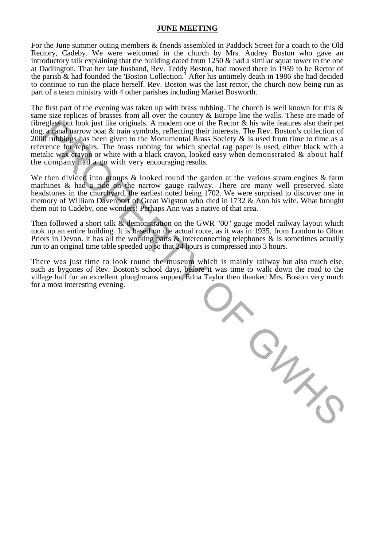#### **JUNE MEETING**

For the June summer outing members & friends assembled in Paddock Street for a coach to the Old Rectory, Cadeby. We were welcomed in the church by Mrs. Audrey Boston who gave an introductory talk explaining that the building dated from  $1250 \&$  had a similar squat tower to the one at Dadlington. That her late husband, Rev. Teddy Boston, had moved there in 1959 to be Rector of the parish  $\&$  had founded the 'Boston Collection.<sup>1</sup> After his untimely death in 1986 she had decided to continue to run the place herself. Rev. Boston was the last rector, the church now being run as part of a team ministry with 4 other parishes including Market Bosworth.

The first part of the evening was taken up with brass rubbing. The church is well known for this  $\&$ same size replicas of brasses from all over the country & Europe line the walls. These are made of fibreglass but look just like originals. A modern one of the Rector & his wife features also their pet dog, a canal narrow boat & train symbols, reflecting their interests. The Rev. Boston's collection of 2000 rubbings has been given to the Monumental Brass Society  $\&$  is used from time to time as a reference for repairs. The brass rubbing for which special rag paper is used, either black with a metalic wax crayon or white with a black crayon, looked easy when demonstrated & about half the company had a go with very encouraging results.

We then divided into groups  $\&$  looked round the garden at the various steam engines  $\&$  farm machines & had a ride on the narrow gauge railway. There are many well preserved slate headstones in the churchyard, the earliest noted being 1702. We were surprised to discover one in memory of William Davenport of Great Wigston who died in 1732 & Ann his wife. What brought them out to Cadeby, one wonders! Perhaps Ann was a native of that area.

Then followed a short talk & demonstration on the GWR "00" gauge model railway layout which took up an entire building. It is based on the actual route, as it was in 1935, from London to Olton Priors in Devon. It has all the working parts  $\&$  interconnecting telephones  $\&$  is sometimes actually run to an original time table speeded up so that 24 hours is compressed into 3 hours.

There was just time to look round the museum which is mainly railway but also much else, such as bygones of Rev. Boston's school days, before it was time to walk down the road to the village hall for an excellent ploughmans supper. Edna Taylor then thanked Mrs. Boston very much for a most interesting evening.

W GW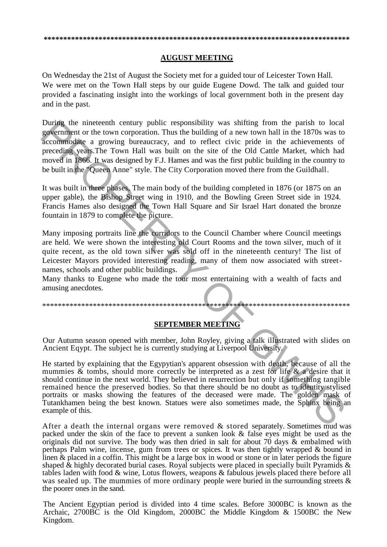#### **AUGUST MEETING**

On Wednesday the 21st of August the Society met for a guided tour of Leicester Town Hall. We were met on the Town Hall steps by our guide Eugene Dowd. The talk and guided tour provided a fascinating insight into the workings of local government both in the present day and in the past.

During the nineteenth century public responsibility was shifting from the parish to local government or the town corporation. Thus the building of a new town hall in the 1870s was to accommodate a growing bureaucracy, and to reflect civic pride in the achievements of preceding years. The Town Hall was built on the site of the Old Cattle Market, which had moved in 1866. It was designed by F.J. Hames and was the first public building in the country to be built in the "Queen Anne" style. The City Corporation moved there from the Guildhall.

It was built in three phases. The main body of the building completed in 1876 (or 1875 on an upper gable), the Bishop Street wing in 1910, and the Bowling Green Street side in 1924. Francis Hames also designed the Town Hall Square and Sir Israel Hart donated the bronze fountain in 1879 to complete the picture.

Many imposing portraits line the corridors to the Council Chamber where Council meetings are held. We were shown the interesting old Court Rooms and the town silver, much of it quite recent, as the old town silver was sold off in the nineteenth century! The list of Leicester Mayors provided interesting reading, many of them now associated with streetnames, schools and other public buildings.

Many thanks to Eugene who made the tour most entertaining with a wealth of facts and amusing anecdotes.

#### **SEPTEMBER MEETING**

Our Autumn season opened with member, John Royley, giving a talk illustrated with slides on Ancient Eqypt. The subject he is currently studying at Liverpool University.

He started by explaining that the Egypytian's apparent obsession with death, because of all the mummies  $\&$  tombs, should more correctly be interpreted as a zest for life  $\&$  a desire that it should continue in the next world. They believed in resurrection but only if something tangible remained hence the preserved bodies. So that there should be no doubt as to identity stylised portraits or masks showing the features of the deceased were made. The golden mask of Tutankhamen being the best known. Statues were also sometimes made, the Sphinx being an example of this.

After a death the internal organs were removed & stored separately. Sometimes mud was packed under the skin of the face to prevent a sunken look & false eyes might be used as the originals did not survive. The body was then dried in salt for about 70 days & embalmed with perhaps Palm wine, incense, gum from trees or spices. It was then tightly wrapped & bound in linen & placed in a coffin. This might be a large box in wood or stone or in later periods the figure shaped & highly decorated burial cases. Royal subjects were placed in specially built Pyramids & tables laden with food & wine, Lotus flowers, weapons & fabulous jewels placed there before all was sealed up. The mummies of more ordinary people were buried in the surrounding streets  $\&$ the poorer ones in the sand.

The Ancient Egyptian period is divided into 4 time scales. Before 3000BC is known as the Archaic, 2700BC is the Old Kingdom, 2000BC the Middle Kingdom & 1500BC the New Kingdom.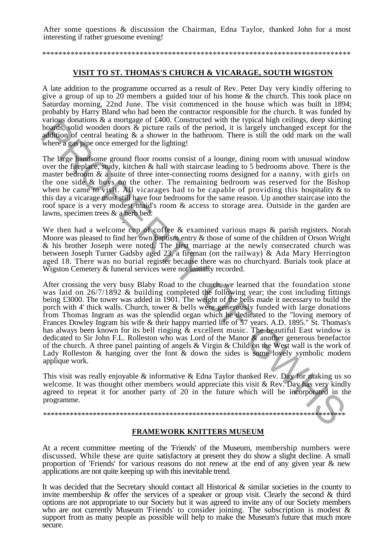After some questions & discussion the Chairman, Edna Taylor, thanked John for a most interesting if rather gruesome evening!

#### \*\*\*\*\*\*\*\*\*\*\*\*\*\*\*\*\*\*\*\*\*\*\*\*\*\*\*\*\*\*\*\*\*\*\*\*\*\*\*\*\*\*\*\*\*\*\*\*\*\*\*\*\*\*\*\*\*\*\*\*\*\*\*\*\*\*\*\*\*\*\*\*\*\*\*\*

#### **VISIT TO ST. THOMAS'S CHURCH & VICARAGE, SOUTH WIGSTON**

A late addition to the programme occurred as a result of Rev. Peter Day very kindly offering to give a group of up to 20 members a guided tour of his home & the church. This took place on Saturday morning, 22nd June. The visit commenced in the house which was built in 1894; probably by Harry Bland who had been the contractor responsible for the church. It was funded by various donations & a mortgage of £400. Constructed with the typical high ceilings, deep skirting boards, solid wooden doors  $\&$  picture rails of the period, it is largely unchanged except for the addition of central heating  $\&$  a shower in the bathroom. There is still the odd mark on the wall where a gas pipe once emerged for the lighting!

The large handsome ground floor rooms consist of a lounge, dining room with unusual window over the fireplace, study, kitchen & hall with staircase leading to 5 bedrooms above. There is the master bedroom & a suite of three inter-connecting rooms designed for a nanny, with girls on the one side & boys on the other. The remaining bedroom was reserved for the Bishop when he came to visit. All vicarages had to be capable of providing this hospitality  $\&$  to this day a vicarage must still have four bedrooms for the same reason. Up another staircase into the roof space is a very modest maid's room & access to storage area. Outside in the garden are lawns, specimen trees & a herb bed.

We then had a welcome cup of coffee & examined various maps & parish registers. Norah Moore was pleased to find her own baptism entry & those of some of the children of Orson Wright & his brother Joseph were noted. The first marriage at the newly consecrated church was between Joseph Turner Gadsby aged 23, a fireman (on the railway) & Ada Mary Herrington aged 18. There was no burial register because there was no churchyard. Burials took place at Wigston Cemetery & funeral services were not initially recorded.

-

After crossing the very busy Blaby Road to the church, we learned that the foundation stone was laid on 26/7/1892 & building completed the following year; the cost including fittings being £3000. The tower was added in 1901. The weight of the bells made it necessary to build the porch with 4' thick walls. Church, tower & bells were generously funded with large donations from Thomas Ingram as was the splendid organ which he dedicated to the "loving memory of Frances Dowley Ingram his wife & their happy married life of 57 years. A.D. 1895." St. Thomas's has always been known for its bell ringing & excellent music. The beautiful East window is dedicated to Sir John F.L. Rolleston who was Lord of the Manor & another generous benefactor of the church. A three panel painting of angels & Virgin & Child on the West wall is the work of Lady Rolleston & hanging over the font  $\&$  down the sides is some lovely symbolic modern applique work. variants of a more proper of the priorities of the period, it is largely unchanged except for the bonds, solid wooden doors & picture rails of the period, it is largely unchanged except for the production. Where a gas how

This visit was really enjoyable & informative & Edna Taylor thanked Rev. Day for making us so welcome. It was thought other members would appreciate this visit & Rev. Day has very kindly agreed to repeat it for another party of 20 in the future which will be incorporated in the programme.

#### \*\*\*\*\*\*\*\*\*\*\*\*\*\*\*\*\*\*\*\*\*\*\*\*\*\*\*\*\*\*\*\*\*\*\*\*\*\*\*\*\*\*\*\*\*\*\*\*\*\*\*\*\*\*\*\*\*\*\*\*\*\*\*\*\*\*\*\*\*\*\*\*\*\*\*\*\*\*\*

#### **FRAMEWORK KNITTERS MUSEUM**

At a recent committee meeting of the 'Friends' of the Museum, membership numbers were discussed. While these are quite satisfactory at present they do show a slight decline. A small proportion of 'Friends' for various reasons do not renew at the end of any given year & new applications are not quite keeping up with this inevitable trend.

It was decided that the Secretary should contact all Historical & similar societies in the county to invite membership & offer the services of a speaker or group visit. Clearly the second & third options are not appropriate to our Society but it was agreed to invite any of our Society members who are not currently Museum 'Friends' to consider joining. The subscription is modest & support from as many people as possible will help to make the Museum's future that much more secure.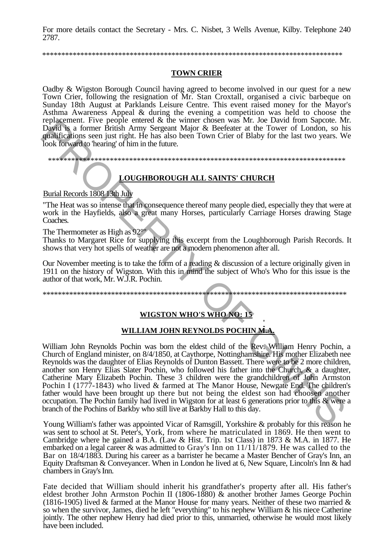For more details contact the Secretary - Mrs. C. Nisbet, 3 Wells Avenue, Kilby. Telephone 240 2787.

## **TOWN CRIER**

Oadby & Wigston Borough Council having agreed to become involved in our quest for a new Town Crier, following the resignation of Mr. Stan Croxtall, organised a civic barbeque on Sunday 18th August at Parklands Leisure Centre. This event raised money for the Mayor's Asthma Awareness Appeal & during the evening a competition was held to choose the replacement. Five people entered & the winner chosen was Mr. Joe David from Sapcote. Mr. David is a former British Army Sergeant Major & Beefeater at the Tower of London, so his qualifications seen just right. He has also been Town Crier of Blaby for the last two years. We look forward to 'hearing' of him in the future.

## **LOUGHBOROUGH ALL SAINTS' CHURCH**

Burial Records 1808 13th July

"The Heat was so intense that in consequence thereof many people died, especially they that were at work in the Hayfields, also a great many Horses, particularly Carriage Horses drawing Stage Coaches.

The Thermometer as High as 92°"

Thanks to Margaret Rice for supplying this excerpt from the Loughborough Parish Records. It shows that very hot spells of weather are not a modern phenomenon after all.

Our November meeting is to take the form of a reading & discussion of a lecture originally given in 1911 on the history of Wigston. With this in mind the subject of Who's Who for this issue is the author of that work, Mr. W.J.R. Pochin.

## WIGSTON WHO'S WHO NO: 15

## WILLIAM JOHN REYNOLDS POCHINM.A.

William John Reynolds Pochin was born the eldest child of the Rev. William Henry Pochin, a Church of England minister, on 8/4/1850, at Caythorpe, Nottinghamshire. His mother Elizabeth nee Reynolds was the daughter of Elias Reynolds of Dunton Bassett. There were to be 2 more children, another son Henry Elias Slater Pochin, who followed his father into the Church, & a daughter, Catherine Mary Elizabeth Pochin. These 3 children were the grandchildren of John Armston Pochin I (1777-1843) who lived & farmed at The Manor House, Newgate End. The children's father would have been brought up there but not being the eldest son had choosen another occupation. The Pochin family had lived in Wigston for at least 6 generations prior to this & were a branch of the Pochins of Barkby who still live at Barkby Hall to this day.

Young William's father was appointed Vicar of Ramsgill, Yorkshire & probably for this reason he was sent to school at St. Peter's, York, from where he matriculated in 1869. He then went to Cambridge where he gained a B.A. (Law & Hist. Trip. 1st Class) in 1873 & M.A. in 1877. He embarked on a legal career & was admitted to Gray's Inn on 11/11/1879. He was called to the Bar on 18/4/1883. During his career as a barrister he became a Master Bencher of Gray's Inn, an Equity Draftsman & Conveyancer. When in London he lived at 6, New Square, Lincoln's Inn & had chambers in Gray's Inn.

Fate decided that William should inherit his grandfather's property after all. His father's eldest brother John Armston Pochin II (1806-1880) & another brother James George Pochin (1816-1905) lived & farmed at the Manor House for many years. Neither of these two married  $\&$ so when the survivor, James, died he left "everything" to his nephew William & his niece Catherine<br>jointly. The other nephew Henry had died prior to this, unmarried, otherwise he would most likely have been included.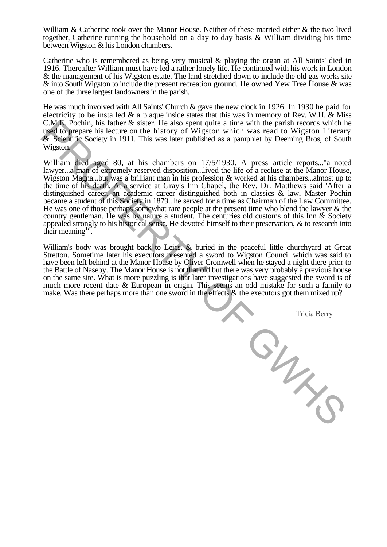William & Catherine took over the Manor House. Neither of these married either & the two lived together, Catherine running the household on a day to day basis & William dividing his time between Wigston & his London chambers.

Catherine who is remembered as being very musical & playing the organ at All Saints' died in 1916. Thereafter William must have led a rather lonely life. He continued with his work in London & the management of his Wigston estate. The land stretched down to include the old gas works site & into South Wigston to include the present recreation ground. He owned Yew Tree House & was one of the three largest landowners in the parish.

He was much involved with All Saints' Church & gave the new clock in 1926. In 1930 he paid for electricity to be installed  $\&$  a plaque inside states that this was in memory of Rev. W.H.  $\&$  Miss C.M.E. Pochin, his father & sister. He also spent quite a time with the parish records which he used to prepare his lecture on the history of Wigston which was read to Wigston Literary & Scientific Society in 1911. This was later published as a pamphlet by Deeming Bros, of South Wigston.

William died aged 80, at his chambers on 17/5/1930. A press article reports..."a noted lawyer...a man of extremely reserved disposition...lived the life of a recluse at the Manor House, Wigston Magna...but was a brilliant man in his profession & worked at his chambers...almost up to the time of his death. At a service at Gray's Inn Chapel, the Rev. Dr. Matthews said 'After a distinguished career, an academic career distinguished both in classics & law, Master Pochin became a student of this Society in 1879...he served for a time as Chairman of the Law Committee. He was one of those perhaps somewhat rare people at the present time who blend the lawyer & the country gentleman. He was by nature a student. The centuries old customs of this Inn  $\&$  Society appealed strongly to his historical sense. He devoted himself to their preservation, & to research into their meaning  $1\degree$ .

William's body was brought back to Leics. & buried in the peaceful little churchyard at Great Stretton. Sometime later his executors presented a sword to Wigston Council which was said to have been left behind at the Manor House by Oliver Cromwell when he stayed a night there prior to the Battle of Naseby. The Manor House is not that old but there was very probably a previous house on the same site. What is more puzzling is that later investigations have suggested the sword is of much more recent date & European in origin. This seems an odd mistake for such a family to make. Was there perhaps more than one sword in the effects & the executors got them mixed up?

Tricia Berry

ON THE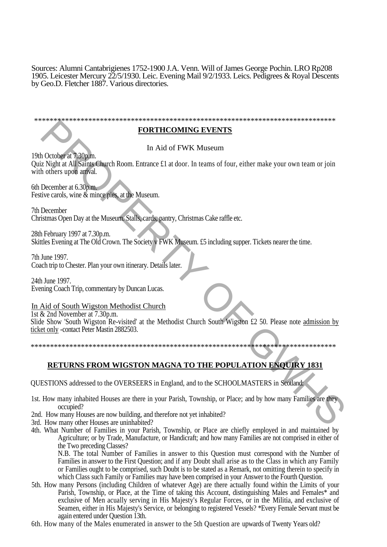Sources: Alumni Cantabrigienes 1752-1900 J.A. Venn. Will of James George Pochin. LRO Rp208 1905. Leicester Mercury 22/5/1930. Leic. Evening Mail 9/2/1933. Leics. Pedigrees & Royal Descents by Geo.D. Fletcher 1887. Various directories.

| <b>BODEHOOMING BURNER</b> |  |
|---------------------------|--|

### **FORTHCOMING EVENTS**

In Aid of FWK Museum

19th October at 7.30p.m. Quiz Night at All Saints Church Room. Entrance £1 at door. In teams of four, either make your own team or join with others upon arrival.

6th December at 6.30p.m. Festive carols, wine  $\&$  mince pies, at the Museum.

7th December Christmas Open Day at the Museum. Stalls, cards, pantry, Christmas Cake raffle etc.

28th February 1997 at 7.30p.m. Skittles Evening at The Old Crown. The Society v FWK Museum. £5 including supper. Tickets nearer the time.

7th June 1997. Coach trip to Chester. Plan your own itinerary. Details later.

24th June 1997. Evening Coach Trip, commentary by Duncan Lucas.

## In Aid of South Wigston Methodist Church

1st & 2nd November at 7.30p.m. Slide Show 'South Wigston Re-visited' at the Methodist Church South Wigston £2 50. Please note admission by ticket only -contact Peter Mastin 2882503. **PERTY COMING EVENTS**<br>
2. Night at All Simple Blunch Room. Entrance E1 at door. In teams of four, citier make your own team or join<br>
2. Night at All Simple Blunch Room. Entrance E1 at door. In teams of four, citier make yo

\*\*\*\*\*\*\*\*\*\*\*\*\*\*\*\*\*\*\*\*\*\*\*\*\*\*\*\*\*\*\*\*\*\*\*\*\*\*\*\*\*\*\*\*\*\*\*\*\*\*\*\*\*\*\*\*\*\*\*\*\*\*\*\*\*\*\*\*\*\*\*\*\*\*\*\*\*\*\*

## **RETURNS FROM WIGSTON MAGNA TO THE POPULATION ENQUIRY 1831**

QUESTIONS addressed to the OVERSEERS in England, and to the SCHOOLMASTERS in Scotland:

- 1st. How many inhabited Houses are there in your Parish, Township, or Place; and by how many Families are they occupied?
- 2nd. How many Houses are now building, and therefore not yet inhabited?
- 3rd. How many other Houses are uninhabited?
- 4th. What Number of Families in your Parish, Township, or Place are chiefly employed in and maintained by Agriculture; or by Trade, Manufacture, or Handicraft; and how many Families are not comprised in either of the Two preceding Classes?

N.B. The total Number of Families in answer to this Question must correspond with the Number of Families in answer to the First Question; and if any Doubt shall arise as to the Class in which any Family or Families ought to be comprised, such Doubt is to be stated as a Remark, not omitting therein to specify in which Class such Family or Families may have been comprised in your Answer to the Fourth Question.

5th. How many Persons (including Children of whatever Age) are there actually found within the Limits of your Parish, Township, or Place, at the Time of taking this Account, distinguishing Males and Females\* and exclusive of Men acually serving in His Majesty's Regular Forces, or in the Militia, and exclusive of Seamen, either in His Majesty's Service, or belonging to registered Vessels? \*Every Female Servant must be again entered under Question 13th.

6th. How many of the Males enumerated in answer to the 5th Question are upwards of Twenty Years old?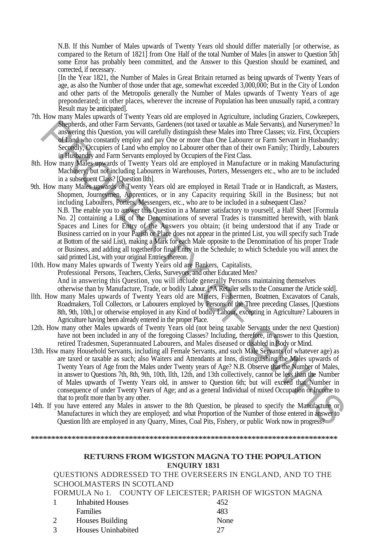N.B. If this Number of Males upwards of Twenty Years old should differ materially [or otherwise, as compared to the Return of 1821] from One Half of the total Number of Males [in answer to Question 5th] some Error has probably been committed, and the Answer to this Question should be examined, and corrected, if necessary.

[In the Year 1821, the Number of Males in Great Britain returned as being upwards of Twenty Years of age, as also the Number of those under that age, somewhat exceeded 3,000,000; But in the City of London and other parts of the Metropolis generally the Number of Males upwards of Twenty Years of age preponderated; in other places, wherever the increase of Population has been unusually rapid, a contrary Result may be anticipated].

- 7th. How many Males upwards of Twenty Years old are employed in Agriculture, including Graziers, Cowkeepers, Shepherds, and other Farm Servants, Gardeners (not taxed or taxable as Male Servants), and Nurserymen? In answering this Question, you will carefully distinguish these Males into Three Classes; viz. First, Occupiers of Land who constantly employ and pay One or more than One Labourer or Farm Servant in Husbandry; Secondly, Occupiers of Land who employ no Labourer other than of their own Family; Thirdly, Labourers in Husbandry and Farm Servants employed by Occupiers of the First Class.
- 8th. How many Males upwards of Twenty Years old are employed in Manufacture or in making Manufacturing Machinery; but not including Labourers in Warehouses, Porters, Messengers etc., who are to be included in a subsequent Class? [Question llth].
- 9th. How many Males upwards of Twenty Years old are employed in Retail Trade or in Handicraft, as Masters, Shopmen, Journeymen, Apprentices, or in any Capacity requiring Skill in the Business; but not including Labourers, Porters, Messengers, etc., who are to be included in a subsequent Class? N.B. The enable you to answer this Question in a Manner satisfactory to yourself, a Half Sheet [Formula No. 2] containing a List of the Denominations of several Trades is transmitted herewith, with blank Spaces and Lines for Entry of the Answers you obtain; (it being understood that if any Trade or

Business carried on in your Parish or Place does not appear in the printed List, you will specify such Trade at Bottom of the said List), making a Mark for each Male opposite to the Denomination of his proper Trade or Business, and adding all together for final Entry in the Schedule; to which Schedule you will annex the said printed List, with your original Entries thereon.

- 10th. How many Males upwards of Twenty Years old are Bankers, Capitalists, Professional Persons, Teachers, Clerks, Surveyors, and other Educated Men? And in answering this Question, you will include generally Persons maintaining themselves otherwise than by Manufacture, Trade, or bodily Labour. [\*A Retailer sells to the Consumer the Article sold].
- llth. How many Males upwards of Twenty Years old are Miners, Fishermen, Boatmen, Excavators of Canals, Roadmakers, Toll Collectors, or Labourers employed by Persons of the Three preceding Classes, [Questions 8th, 9th, 10th,] or otherwise employed in any Kind of bodily Labour, excepting in Agriculture? Labourers in Agriculture having been already entered in the proper Place.
- 12th. How many other Males upwards of Twenty Years old (not being taxable Servants under the next Question) have not been included in any of the foregoing Classes? Including, therefore, in answer to this Question, retired Tradesmen, Superannuated Labourers, and Males diseased or disabled in Body or Mind.
- 13th. Hsw many Household Servants, including all Female Servants, and such Male Servants (of whatever age) as are taxed or taxable as such; also Waiters and Attendants at Inns, distinguishing the Males upwards of Twenty Years of Age from the Males under Twenty years of Age? N.B. Observe that the Number of Males, in answer to Questions 7th, 8th, 9th, 10th, llth, 12th, and 13th collectively, cannot be less than the Number of Males upwards of Twenty Years old, in answer to Question 6th; but will exceed that Number in consequence of under Twenty Years of Age; and as a general Individual of mixed Occupation or Income to that to profit more than by any other. **Superbay,** and the rama Encenta, Gatebeary (not based on twistbe as Male Servanty), and Nuccessites in the same of the same stress of a maximization of the same stress of the same stress of the constanty employed by cons
- 14th. If you have entered any Males in answer to the 8th Question, be pleased to specify the Manufacture or Manufactures in which they are employed; and what Proportion of the Number of those entered in answer to Question llth are employed in any Quarry, Mines, Coal Pits, Fishery, or public Work now in progress?

**\*\*\*\*\*\*\*\*\*\*\*\*\*\*\*\*\*\*\*\*\*\*\*\*\*\*\*\*\*\*\*\*\*\*\*\*\*\*\*\*\*\*\*\*\*\*\*\*\*\*\*\*\*\*\*\*\*\*\*\*\*\*\*\*\*\*\*\*\*\*\*\*\*\*\*** 

## **RETURNS FROM WIGSTON MAGNA TO THE POPULATION ENQUIRY 1831**

QUESTIONS ADDRESSED TO THE OVERSEERS IN ENGLAND, AND TO THE SCHOOLMASTERS IN SCOTLAND

FORMULA No 1. COUNTY OF LEICESTER; PARISH OF WIGSTON MAGNA

| <b>Inhabited Houses</b> | 452  |
|-------------------------|------|
| <b>Families</b>         | 483  |
| Houses Building         | None |
| Houses Uninhabited      | 27   |
|                         |      |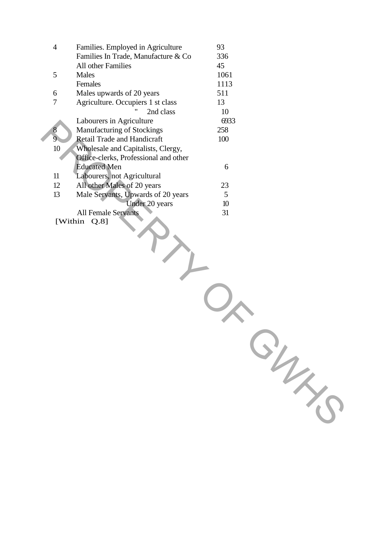| $\overline{4}$ | Families. Employed in Agriculture                | 93   |  |
|----------------|--------------------------------------------------|------|--|
|                | Families In Trade, Manufacture & Co              | 336  |  |
|                | All other Families                               | 45   |  |
| 5              | Males                                            | 1061 |  |
|                | Females                                          | 1113 |  |
| 6              | Males upwards of 20 years                        | 511  |  |
| $\tau$         | Agriculture. Occupiers 1 st class                | 13   |  |
|                | 2nd class                                        | 10   |  |
|                | Labourers in Agriculture                         | 6933 |  |
| 8              | Manufacturing of Stockings                       | 258  |  |
| $\overline{9}$ | <b>Retail Trade and Handicraft</b>               | 100  |  |
| $10\,$         | Wholesale and Capitalists, Clergy,               |      |  |
|                | Office-clerks, Professional and other            |      |  |
|                | <b>Educated Men</b>                              | 6    |  |
| 11             | Labourers, not Agricultural                      |      |  |
| 12             | All other Males of 20 years                      | 23   |  |
| 13             | Male Servants, Upwards of 20 years               | 5    |  |
|                | Under 20 years                                   | 10   |  |
|                | <b>All Female Servants</b><br>[Within<br>$Q.8$ ] | 31   |  |
|                |                                                  |      |  |
|                |                                                  |      |  |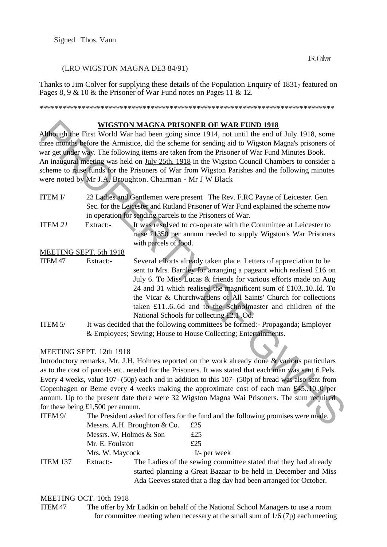#### (LRO WIGSTON MAGNA DE3 84/91)

Thanks to Jim Colver for supplying these details of the Population Enquiry of  $1831<sub>7</sub>$  featured on Pages 8, 9 & 10 & the Prisoner of War Fund notes on Pages 11 & 12.

\*\*\*\*\*\*\*\*\*\*\*\*\*\*\*\*\*\*\*\*\*\*\*\*\*\*\*\*\*\*\*\*\*\*\*\*\*\*\*\*\*\*\*\*\*\*\*\*\*\*\*\*\*\*\*\*\*\*\*\*\*\*\*\*\*\*\*\*\*\*\*\*\*\*\*\*\*

#### **WIGSTON MAGNA PRISONER OF WAR FUND 1918**

Although the First World War had been going since 1914, not until the end of July 1918, some three months before the Armistice, did the scheme for sending aid to Wigston Magna's prisoners of war get under way. The following items are taken from the Prisoner of War Fund Minutes Book. An inaugural meeting was held on July 25th, 1918 in the Wigston Council Chambers to consider a scheme to raise funds for the Prisoners of War from Wigston Parishes and the following minutes were noted by Mr J.A. Broughton. Chairman - Mr J W Black

- ITEM I/ 23 Ladies and Gentlemen were present The Rev. F.RC Payne of Leicester. Gen. Sec. for the Leicester and Rutland Prisoner of War Fund explained the scheme now in operation for sending parcels to the Prisoners of War.
- ITEM *21* Extract:- It was resolved to co-operate with the Committee at Leicester to raise £1350 per annum needed to supply Wigston's War Prisoners with parcels of food.

MEETING SEPT. 5th 1918

- ITEM 47 Extract:- Several efforts already taken place. Letters of appreciation to be sent to Mrs. Barnley for arranging a pageant which realised £16 on July 6. To Miss Lucas & friends for various efforts made on Aug 24 and 31 which realised the magnificent sum of £103..10..Id. To the Vicar & Churchwardens of All Saints' Church for collections taken £11..6..6d and to the Schoolmaster and children of the National Schools for collecting £2.1 .Od. **Numerally the UNIGETING MATERIA CONDITION ANDER OF WAR FUND 1918, some<br>
fine month the rest of the scheme in the scheme in the selection of the scheme in the scheme in the scheme in scheme in the selection of the scheme**
- ITEM 5/ It was decided that the following committees be formed:- Propaganda; Employer & Employees; Sewing; House to House Collecting; Entertainments.

#### MEETING SEPT. 12th 1918

Introductory remarks. Mr. J.H. Holmes reported on the work already done & various particulars as to the cost of parcels etc. needed for the Prisoners. It was stated that each man was sent 6 Pels. Every 4 weeks, value 107- (50p) each and in addition to this 107- (50p) of bread was also sent from Copenhagen or Beme every 4 weeks making the approximate cost of each man £45..10.,0 per annum. Up to the present date there were 32 Wigston Magna Wai Prisoners. The sum required for these being £1,500 per annum.

| ITEM 9/  | The President asked for offers for the fund and the following promises were made. |                                                                 |                                                                  |  |
|----------|-----------------------------------------------------------------------------------|-----------------------------------------------------------------|------------------------------------------------------------------|--|
|          | Messrs. A.H. Broughton & Co.                                                      |                                                                 | £25                                                              |  |
|          | Messrs. W. Holmes & Son                                                           |                                                                 | £25                                                              |  |
|          | Mr. E. Foulston                                                                   |                                                                 | £25                                                              |  |
|          | Mrs. W. Maycock                                                                   |                                                                 | $I$ - per week                                                   |  |
| ITEM 137 | Extract:-                                                                         |                                                                 | The Ladies of the sewing committee stated that they had already  |  |
|          |                                                                                   | started planning a Great Bazaar to be held in December and Miss |                                                                  |  |
|          |                                                                                   |                                                                 | Ada Geeves stated that a flag day had been arranged for October. |  |

#### MEETING OCT. 10th 1918

ITEM 47 The offer by Mr Ladkin on behalf of the National School Managers to use a room for committee meeting when necessary at the small sum of  $1/6$  (7p) each meeting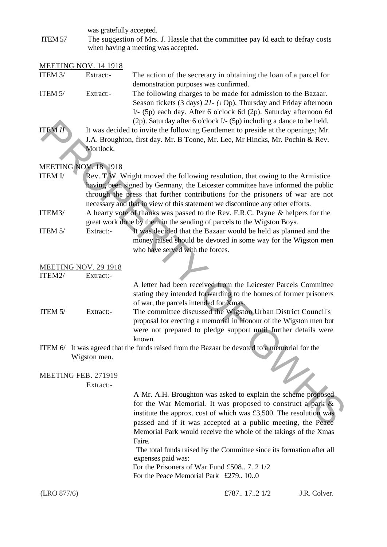was gratefully accepted.

ITEM 57 The suggestion of Mrs. J. Hassle that the committee pay Id each to defray costs when having a meeting was accepted.

|                | <b>MEETING NOV. 14 1918</b> |                                                                                                                                                                                                                                                                                                 |
|----------------|-----------------------------|-------------------------------------------------------------------------------------------------------------------------------------------------------------------------------------------------------------------------------------------------------------------------------------------------|
| ITEM 3/        | Extract:-                   | The action of the secretary in obtaining the loan of a parcel for<br>demonstration purposes was confirmed.                                                                                                                                                                                      |
| ITEM 5/        | Extract:-                   | The following charges to be made for admission to the Bazaar.<br>Season tickets (3 days) $2I - (\partial p)$ , Thursday and Friday afternoon<br>I/- (5p) each day. After 6 o'clock 6d (2p). Saturday afternoon 6d<br>$(2p)$ . Saturday after 6 o'clock I/- $(5p)$ including a dance to be held. |
| <b>ITEM II</b> |                             | It was decided to invite the following Gentlemen to preside at the openings; Mr.                                                                                                                                                                                                                |
|                |                             | J.A. Broughton, first day. Mr. B Toone, Mr. Lee, Mr Hincks, Mr. Pochin & Rev.                                                                                                                                                                                                                   |
|                | Mortlock.                   |                                                                                                                                                                                                                                                                                                 |
|                | <b>MEETING NOV. 18 1918</b> |                                                                                                                                                                                                                                                                                                 |
| <b>ITEM I/</b> |                             | Rev. T.W. Wright moved the following resolution, that owing to the Armistice                                                                                                                                                                                                                    |
|                |                             | having been signed by Germany, the Leicester committee have informed the public<br>through the press that further contributions for the prisoners of war are not                                                                                                                                |
|                |                             | necessary and that in view of this statement we discontinue any other efforts.                                                                                                                                                                                                                  |
| ITEM3/         |                             | A hearty vote of thanks was passed to the Rev. F.R.C. Payne & helpers for the                                                                                                                                                                                                                   |
| ITEM 5/        | Extract:-                   | great work done by them in the sending of parcels to the Wigston Boys.<br>It was decided that the Bazaar would be held as planned and the                                                                                                                                                       |
|                |                             | money raised should be devoted in some way for the Wigston men<br>who have served with the forces.                                                                                                                                                                                              |
|                |                             |                                                                                                                                                                                                                                                                                                 |
|                | MEETING NOV. 29 1918        |                                                                                                                                                                                                                                                                                                 |
| ITEM2/         | Extract:-                   |                                                                                                                                                                                                                                                                                                 |
|                |                             | A letter had been received from the Leicester Parcels Committee<br>stating they intended forwarding to the homes of former prisoners<br>of war, the parcels intended for Xmas.                                                                                                                  |
| ITEM 5/        | Extract:-                   | The committee discussed the Wigston Urban District Council's<br>proposal for erecting a memorial in Honour of the Wigston men but<br>were not prepared to pledge support until further details were<br>known.                                                                                   |
|                |                             | ITEM 6/ It was agreed that the funds raised from the Bazaar be devoted to a memorial for the                                                                                                                                                                                                    |
|                | Wigston men.                | $\mathcal{L}_{L}$                                                                                                                                                                                                                                                                               |
|                | MEETING FEB. 271919         |                                                                                                                                                                                                                                                                                                 |
|                | Extract:-                   |                                                                                                                                                                                                                                                                                                 |
|                |                             | A Mr. A.H. Broughton was asked to explain the scheme proposed                                                                                                                                                                                                                                   |
|                |                             | for the War Memorial. It was proposed to construct a park &                                                                                                                                                                                                                                     |
|                |                             | institute the approx. cost of which was £3,500. The resolution was                                                                                                                                                                                                                              |
|                |                             | passed and if it was accepted at a public meeting, the Peace<br>Memorial Park would receive the whole of the takings of the Xmas                                                                                                                                                                |
|                |                             | Faire.                                                                                                                                                                                                                                                                                          |
|                |                             | The total funds raised by the Committee since its formation after all<br>expenses paid was:                                                                                                                                                                                                     |
|                |                             | For the Prisoners of War Fund £508 72 1/2                                                                                                                                                                                                                                                       |

For the Peace Memorial Park £279.. 10..0